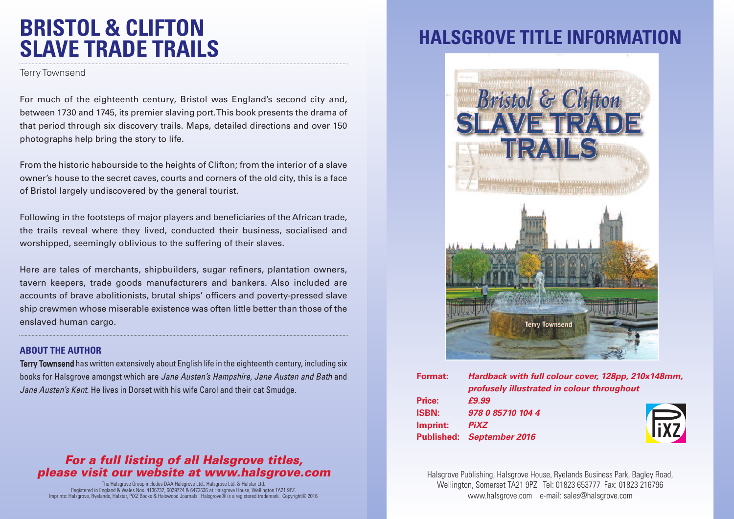## **BRISTOL & CLIFTON SLAVE TRADE TRAILS**

Terry Townsend

For much of the eighteenth century, Bristol was England's second city and, between 1730 and 1745, its premier slaving port.This book presents the drama of that period through six discovery trails. Maps, detailed directions and over 150 photographs help bring the story to life.

From the historic habourside to the heights of Clifton; from the interior of a slave owner's house to the secret caves, courts and corners of the old city, this is a face of Bristol largely undiscovered by the general tourist.

Following in the footsteps of major players and beneficiaries of the African trade, the trails reveal where they lived, conducted their business, socialised and worshipped, seemingly oblivious to the suffering of their slaves.

Here are tales of merchants, shipbuilders, sugar refiners, plantation owners, tavern keepers, trade goods manufacturers and bankers. Also included are accounts of brave abolitionists, brutal ships' officers and poverty-pressed slave ship crewmen whose miserable existence was often little better than those of the enslaved human cargo.

#### **ABOUT THE AUTHOR**

Terry Townsend has written extensively about English life in the eighteenth century, including six books for Halsgrove amongst which are *Jane Austen's Hampshire, Jane Austen and Bath* and *Jane Austen's Kent*. He lives in Dorset with his wife Carol and their cat Smudge.

### *For a full listing of all Halsgrove titles, please visit our website at www.halsgrove.com*

The Halsgrove Group includes DAA Halsgrove Ltd., Halsgrove Ltd. & Halstar Ltd. Registered in England & Wales Nos. 4136732, 6029724 & 6472636 at Halsgrove House, Wellington TA21 9PZ. Imprints: Halsgrove, Ryelands, Halstar, PiXZ Books & Halswood Journals. Halsgrove® is a registered trademark. Copyright© 2016

# **HALSGROVE TITLE INFORMAT**



| Format:      | Hardback with full colour cover, 128pp, 210x148mm, |  |
|--------------|----------------------------------------------------|--|
|              | profusely illustrated in colour throughout         |  |
| Price:       | £9.99                                              |  |
| <b>ISBN:</b> | 978 0 85710 104 4                                  |  |
| Imprint:     | <b>FIXZ</b><br><b>PiXZ</b>                         |  |
|              | Published: September 2016                          |  |
|              |                                                    |  |

Halsgrove Publishing, Halsgrove House, Ryelands Business Park, Bagley Road, Wellington, Somerset TA21 9PZ Tel: 01823 653777 Fax: 01823 216796 www.halsgrove.com e-mail: sales@halsgrove.com